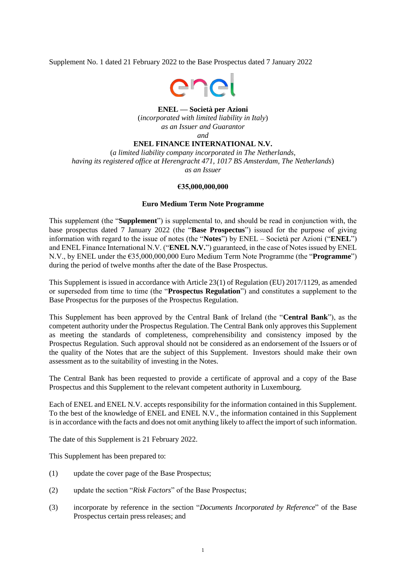Supplement No. 1 dated 21 February 2022 to the Base Prospectus dated 7 January 2022



## **ENEL — Società per Azioni**

(*incorporated with limited liability in Italy*) *as an Issuer and Guarantor and*

# **ENEL FINANCE INTERNATIONAL N.V.**

(*a limited liability company incorporated in The Netherlands, having its registered office at Herengracht 471, 1017 BS Amsterdam, The Netherlands*) *as an Issuer*

## **€35,000,000,000**

## **Euro Medium Term Note Programme**

This supplement (the "**Supplement**") is supplemental to, and should be read in conjunction with, the base prospectus dated 7 January 2022 (the "**Base Prospectus**") issued for the purpose of giving information with regard to the issue of notes (the "**Notes**") by ENEL – Società per Azioni ("**ENEL**") and ENEL Finance International N.V. ("**ENEL N.V.**") guaranteed, in the case of Notes issued by ENEL N.V., by ENEL under the €35,000,000,000 Euro Medium Term Note Programme (the "**Programme**") during the period of twelve months after the date of the Base Prospectus.

This Supplement is issued in accordance with Article 23(1) of Regulation (EU) 2017/1129, as amended or superseded from time to time (the "**Prospectus Regulation**") and constitutes a supplement to the Base Prospectus for the purposes of the Prospectus Regulation.

This Supplement has been approved by the Central Bank of Ireland (the "**Central Bank**"), as the competent authority under the Prospectus Regulation. The Central Bank only approves this Supplement as meeting the standards of completeness, comprehensibility and consistency imposed by the Prospectus Regulation. Such approval should not be considered as an endorsement of the Issuers or of the quality of the Notes that are the subject of this Supplement. Investors should make their own assessment as to the suitability of investing in the Notes.

The Central Bank has been requested to provide a certificate of approval and a copy of the Base Prospectus and this Supplement to the relevant competent authority in Luxembourg.

Each of ENEL and ENEL N.V. accepts responsibility for the information contained in this Supplement. To the best of the knowledge of ENEL and ENEL N.V., the information contained in this Supplement is in accordance with the facts and does not omit anything likely to affect the import of such information.

The date of this Supplement is 21 February 2022.

This Supplement has been prepared to:

- (1) update the cover page of the Base Prospectus;
- (2) update the section "*Risk Factors*" of the Base Prospectus;
- (3) incorporate by reference in the section "*Documents Incorporated by Reference*" of the Base Prospectus certain press releases; and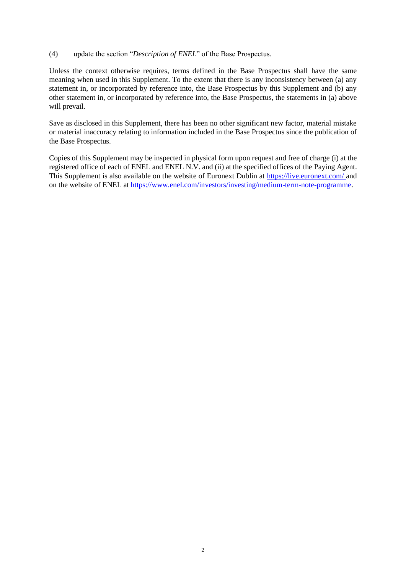## (4) update the section "*Description of ENEL*" of the Base Prospectus.

Unless the context otherwise requires, terms defined in the Base Prospectus shall have the same meaning when used in this Supplement. To the extent that there is any inconsistency between (a) any statement in, or incorporated by reference into, the Base Prospectus by this Supplement and (b) any other statement in, or incorporated by reference into, the Base Prospectus, the statements in (a) above will prevail.

Save as disclosed in this Supplement, there has been no other significant new factor, material mistake or material inaccuracy relating to information included in the Base Prospectus since the publication of the Base Prospectus.

Copies of this Supplement may be inspected in physical form upon request and free of charge (i) at the registered office of each of ENEL and ENEL N.V. and (ii) at the specified offices of the Paying Agent. This Supplement is also available on the website of Euronext Dublin at<https://live.euronext.com/> and on the website of ENEL a[t https://www.enel.com/investors/investing/medium-term-note-programme.](https://www.enel.com/investors/investing/medium-term-note-programme)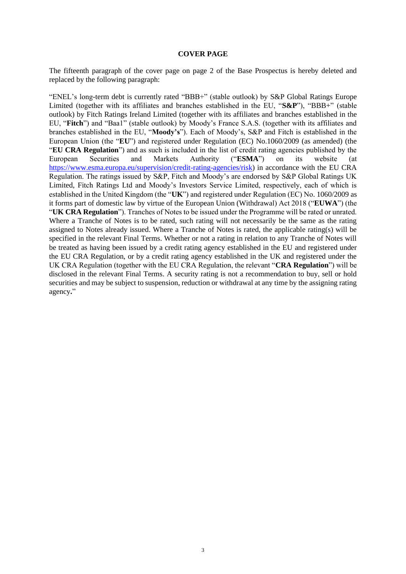#### **COVER PAGE**

The fifteenth paragraph of the cover page on page 2 of the Base Prospectus is hereby deleted and replaced by the following paragraph:

"ENEL's long-term debt is currently rated "BBB+" (stable outlook) by S&P Global Ratings Europe Limited (together with its affiliates and branches established in the EU, "**S&P**"), "BBB+" (stable outlook) by Fitch Ratings Ireland Limited (together with its affiliates and branches established in the EU, "**Fitch**") and "Baa1" (stable outlook) by Moody's France S.A.S. (together with its affiliates and branches established in the EU, "**Moody's**"). Each of Moody's, S&P and Fitch is established in the European Union (the "**EU**") and registered under Regulation (EC) No.1060/2009 (as amended) (the "**EU CRA Regulation**") and as such is included in the list of credit rating agencies published by the European Securities and Markets Authority ("**ESMA**") on its website (at [https://www.esma.europa.eu/supervision/credit-rating-agencies/risk\)](https://www.esma.europa.eu/supervision/credit-rating-agencies/risk) in accordance with the EU CRA Regulation. The ratings issued by S&P, Fitch and Moody's are endorsed by S&P Global Ratings UK Limited, Fitch Ratings Ltd and Moody's Investors Service Limited, respectively, each of which is established in the United Kingdom (the "**UK**") and registered under Regulation (EC) No. 1060/2009 as it forms part of domestic law by virtue of the European Union (Withdrawal) Act 2018 ("**EUWA**") (the "**UK CRA Regulation**"). Tranches of Notes to be issued under the Programme will be rated or unrated. Where a Tranche of Notes is to be rated, such rating will not necessarily be the same as the rating assigned to Notes already issued. Where a Tranche of Notes is rated, the applicable rating(s) will be specified in the relevant Final Terms. Whether or not a rating in relation to any Tranche of Notes will be treated as having been issued by a credit rating agency established in the EU and registered under the EU CRA Regulation, or by a credit rating agency established in the UK and registered under the UK CRA Regulation (together with the EU CRA Regulation, the relevant "**CRA Regulation**") will be disclosed in the relevant Final Terms. A security rating is not a recommendation to buy, sell or hold securities and may be subject to suspension, reduction or withdrawal at any time by the assigning rating agency**.**"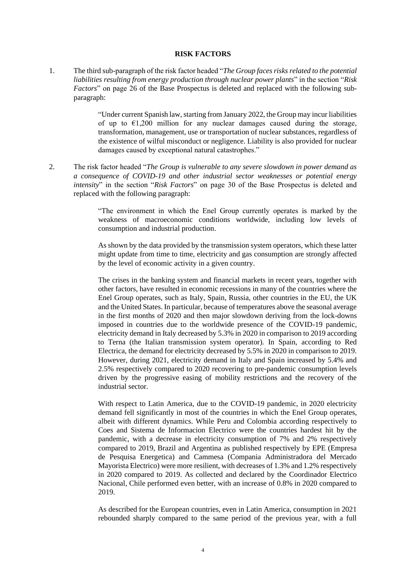## **RISK FACTORS**

1. The third sub-paragraph of the risk factor headed "*The Group faces risks related to the potential liabilities resulting from energy production through nuclear power plants*" in the section "*Risk Factors*" on page 26 of the Base Prospectus is deleted and replaced with the following subparagraph:

> "Under current Spanish law, starting from January 2022, the Group may incur liabilities of up to  $\epsilon$ 1,200 million for any nuclear damages caused during the storage, transformation, management, use or transportation of nuclear substances, regardless of the existence of wilful misconduct or negligence. Liability is also provided for nuclear damages caused by exceptional natural catastrophes."

2. The risk factor headed "*The Group is vulnerable to any severe slowdown in power demand as a consequence of COVID-19 and other industrial sector weaknesses or potential energy intensity*" in the section "*Risk Factors*" on page 30 of the Base Prospectus is deleted and replaced with the following paragraph:

> "The environment in which the Enel Group currently operates is marked by the weakness of macroeconomic conditions worldwide, including low levels of consumption and industrial production.

> As shown by the data provided by the transmission system operators, which these latter might update from time to time, electricity and gas consumption are strongly affected by the level of economic activity in a given country.

> The crises in the banking system and financial markets in recent years, together with other factors, have resulted in economic recessions in many of the countries where the Enel Group operates, such as Italy, Spain, Russia, other countries in the EU, the UK and the United States. In particular, because of temperatures above the seasonal average in the first months of 2020 and then major slowdown deriving from the lock-downs imposed in countries due to the worldwide presence of the COVID-19 pandemic, electricity demand in Italy decreased by 5.3% in 2020 in comparison to 2019 according to Terna (the Italian transmission system operator). In Spain, according to Red Electrica, the demand for electricity decreased by 5.5% in 2020 in comparison to 2019. However, during 2021, electricity demand in Italy and Spain increased by 5.4% and 2.5% respectively compared to 2020 recovering to pre-pandemic consumption levels driven by the progressive easing of mobility restrictions and the recovery of the industrial sector.

> With respect to Latin America, due to the COVID-19 pandemic, in 2020 electricity demand fell significantly in most of the countries in which the Enel Group operates, albeit with different dynamics. While Peru and Colombia according respectively to Coes and Sistema de Informacion Electrico were the countries hardest hit by the pandemic, with a decrease in electricity consumption of 7% and 2% respectively compared to 2019, Brazil and Argentina as published respectively by EPE (Empresa de Pesquisa Energetica) and Cammesa (Compania Administradora del Mercado Mayorista Electrico) were more resilient, with decreases of 1.3% and 1.2% respectively in 2020 compared to 2019. As collected and declared by the Coordinador Electrico Nacional, Chile performed even better, with an increase of 0.8% in 2020 compared to 2019.

> As described for the European countries, even in Latin America, consumption in 2021 rebounded sharply compared to the same period of the previous year, with a full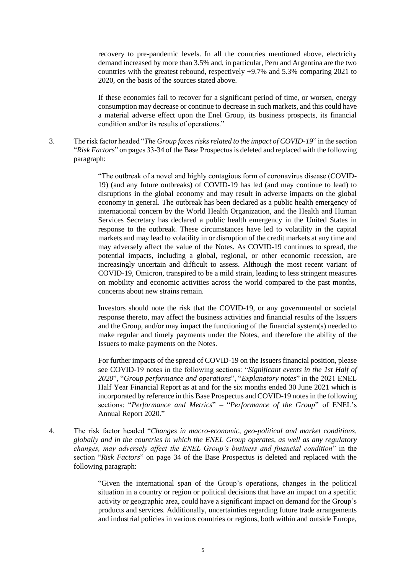recovery to pre-pandemic levels. In all the countries mentioned above, electricity demand increased by more than 3.5% and, in particular, Peru and Argentina are the two countries with the greatest rebound, respectively +9.7% and 5.3% comparing 2021 to 2020, on the basis of the sources stated above.

If these economies fail to recover for a significant period of time, or worsen, energy consumption may decrease or continue to decrease in such markets, and this could have a material adverse effect upon the Enel Group, its business prospects, its financial condition and/or its results of operations."

3. The risk factor headed "*The Group faces risks related to the impact of COVID-19*" in the section "*Risk Factors*" on pages 33-34 of the Base Prospectus is deleted and replaced with the following paragraph:

> "The outbreak of a novel and highly contagious form of coronavirus disease (COVID-19) (and any future outbreaks) of COVID-19 has led (and may continue to lead) to disruptions in the global economy and may result in adverse impacts on the global economy in general. The outbreak has been declared as a public health emergency of international concern by the World Health Organization, and the Health and Human Services Secretary has declared a public health emergency in the United States in response to the outbreak. These circumstances have led to volatility in the capital markets and may lead to volatility in or disruption of the credit markets at any time and may adversely affect the value of the Notes. As COVID-19 continues to spread, the potential impacts, including a global, regional, or other economic recession, are increasingly uncertain and difficult to assess. Although the most recent variant of COVID-19, Omicron, transpired to be a mild strain, leading to less stringent measures on mobility and economic activities across the world compared to the past months, concerns about new strains remain.

> Investors should note the risk that the COVID-19, or any governmental or societal response thereto, may affect the business activities and financial results of the Issuers and the Group, and/or may impact the functioning of the financial system(s) needed to make regular and timely payments under the Notes, and therefore the ability of the Issuers to make payments on the Notes.

> For further impacts of the spread of COVID-19 on the Issuers financial position, please see COVID-19 notes in the following sections: "*Significant events in the 1st Half of 2020*", "*Group performance and operations*", "*Explanatory notes*" in the 2021 ENEL Half Year Financial Report as at and for the six months ended 30 June 2021 which is incorporated by reference in this Base Prospectus and COVID-19 notes in the following sections: "*Performance and Metrics*" – "*Performance of the Group*" of ENEL's Annual Report 2020."

4. The risk factor headed "*Changes in macro-economic, geo-political and market conditions, globally and in the countries in which the ENEL Group operates, as well as any regulatory changes, may adversely affect the ENEL Group's business and financial condition*" in the section "*Risk Factors*" on page 34 of the Base Prospectus is deleted and replaced with the following paragraph:

> "Given the international span of the Group's operations, changes in the political situation in a country or region or political decisions that have an impact on a specific activity or geographic area, could have a significant impact on demand for the Group's products and services. Additionally, uncertainties regarding future trade arrangements and industrial policies in various countries or regions, both within and outside Europe,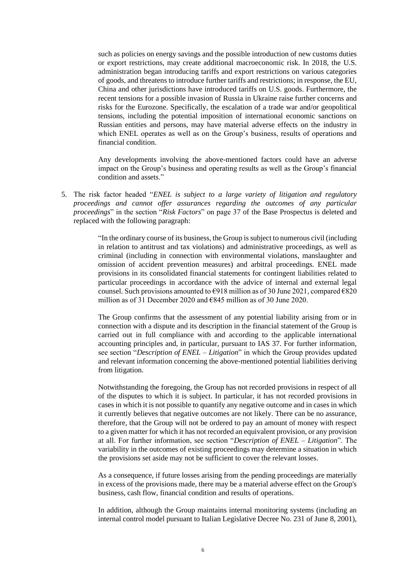such as policies on energy savings and the possible introduction of new customs duties or export restrictions, may create additional macroeconomic risk. In 2018, the U.S. administration began introducing tariffs and export restrictions on various categories of goods, and threatens to introduce further tariffs and restrictions; in response, the EU, China and other jurisdictions have introduced tariffs on U.S. goods. Furthermore, the recent tensions for a possible invasion of Russia in Ukraine raise further concerns and risks for the Eurozone. Specifically, the escalation of a trade war and/or geopolitical tensions, including the potential imposition of international economic sanctions on Russian entities and persons, may have material adverse effects on the industry in which ENEL operates as well as on the Group's business, results of operations and financial condition.

Any developments involving the above-mentioned factors could have an adverse impact on the Group's business and operating results as well as the Group's financial condition and assets."

5. The risk factor headed "*ENEL is subject to a large variety of litigation and regulatory proceedings and cannot offer assurances regarding the outcomes of any particular proceedings*" in the section "*Risk Factors*" on page 37 of the Base Prospectus is deleted and replaced with the following paragraph:

> "In the ordinary course of its business, the Group is subject to numerous civil (including in relation to antitrust and tax violations) and administrative proceedings, as well as criminal (including in connection with environmental violations, manslaughter and omission of accident prevention measures) and arbitral proceedings. ENEL made provisions in its consolidated financial statements for contingent liabilities related to particular proceedings in accordance with the advice of internal and external legal counsel. Such provisions amounted to  $\epsilon$ 918 million as of 30 June 2021, compared  $\epsilon$ 820 million as of 31 December 2020 and €845 million as of 30 June 2020.

> The Group confirms that the assessment of any potential liability arising from or in connection with a dispute and its description in the financial statement of the Group is carried out in full compliance with and according to the applicable international accounting principles and, in particular, pursuant to IAS 37. For further information, see section "*Description of ENEL – Litigation*" in which the Group provides updated and relevant information concerning the above-mentioned potential liabilities deriving from litigation.

> Notwithstanding the foregoing, the Group has not recorded provisions in respect of all of the disputes to which it is subject. In particular, it has not recorded provisions in cases in which it is not possible to quantify any negative outcome and in cases in which it currently believes that negative outcomes are not likely. There can be no assurance, therefore, that the Group will not be ordered to pay an amount of money with respect to a given matter for which it has not recorded an equivalent provision, or any provision at all. For further information, see section "*Description of ENEL – Litigation*". The variability in the outcomes of existing proceedings may determine a situation in which the provisions set aside may not be sufficient to cover the relevant losses.

> As a consequence, if future losses arising from the pending proceedings are materially in excess of the provisions made, there may be a material adverse effect on the Group's business, cash flow, financial condition and results of operations.

> In addition, although the Group maintains internal monitoring systems (including an internal control model pursuant to Italian Legislative Decree No. 231 of June 8, 2001),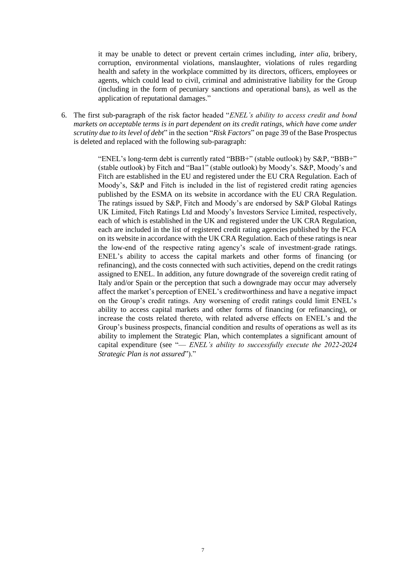it may be unable to detect or prevent certain crimes including, *inter alia*, bribery, corruption, environmental violations, manslaughter, violations of rules regarding health and safety in the workplace committed by its directors, officers, employees or agents, which could lead to civil, criminal and administrative liability for the Group (including in the form of pecuniary sanctions and operational bans), as well as the application of reputational damages."

6. The first sub-paragraph of the risk factor headed "*ENEL's ability to access credit and bond markets on acceptable terms is in part dependent on its credit ratings, which have come under scrutiny due to its level of debt*" in the section "*Risk Factors*" on page 39 of the Base Prospectus is deleted and replaced with the following sub-paragraph:

> "ENEL's long-term debt is currently rated "BBB+" (stable outlook) by S&P, "BBB+" (stable outlook) by Fitch and "Baa1" (stable outlook) by Moody's. S&P, Moody's and Fitch are established in the EU and registered under the EU CRA Regulation. Each of Moody's, S&P and Fitch is included in the list of registered credit rating agencies published by the ESMA on its website in accordance with the EU CRA Regulation. The ratings issued by S&P, Fitch and Moody's are endorsed by S&P Global Ratings UK Limited, Fitch Ratings Ltd and Moody's Investors Service Limited, respectively, each of which is established in the UK and registered under the UK CRA Regulation, each are included in the list of registered credit rating agencies published by the FCA on its website in accordance with the UK CRA Regulation. Each of these ratings is near the low-end of the respective rating agency's scale of investment-grade ratings. ENEL's ability to access the capital markets and other forms of financing (or refinancing), and the costs connected with such activities, depend on the credit ratings assigned to ENEL. In addition, any future downgrade of the sovereign credit rating of Italy and/or Spain or the perception that such a downgrade may occur may adversely affect the market's perception of ENEL's creditworthiness and have a negative impact on the Group's credit ratings. Any worsening of credit ratings could limit ENEL's ability to access capital markets and other forms of financing (or refinancing), or increase the costs related thereto, with related adverse effects on ENEL's and the Group's business prospects, financial condition and results of operations as well as its ability to implement the Strategic Plan, which contemplates a significant amount of capital expenditure (see "— *ENEL's ability to successfully execute the 2022-2024 Strategic Plan is not assured*")."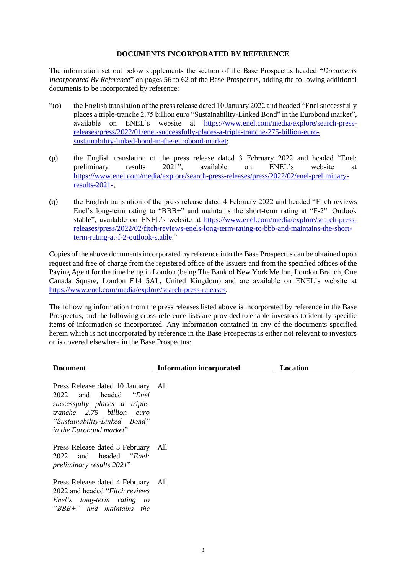## **DOCUMENTS INCORPORATED BY REFERENCE**

The information set out below supplements the section of the Base Prospectus headed "*Documents Incorporated By Reference*" on pages 56 to 62 of the Base Prospectus, adding the following additional documents to be incorporated by reference:

- "(o) the English translation of the press release dated 10 January 2022 and headed "Enel successfully places a triple-tranche 2.75 billion euro "Sustainability-Linked Bond" in the Eurobond market", available on ENEL's website at [https://www.enel.com/media/explore/search-press](https://www.enel.com/media/explore/search-press-releases/press/2022/01/enel-successfully-places-a-triple-tranche-275-billion-euro-sustainability-linked-bond-in-the-eurobond-market)[releases/press/2022/01/enel-successfully-places-a-triple-tranche-275-billion-euro](https://www.enel.com/media/explore/search-press-releases/press/2022/01/enel-successfully-places-a-triple-tranche-275-billion-euro-sustainability-linked-bond-in-the-eurobond-market)[sustainability-linked-bond-in-the-eurobond-market;](https://www.enel.com/media/explore/search-press-releases/press/2022/01/enel-successfully-places-a-triple-tranche-275-billion-euro-sustainability-linked-bond-in-the-eurobond-market)
- (p) the English translation of the press release dated 3 February 2022 and headed "Enel: preliminary results 2021", available on ENEL's website at [https://www.enel.com/media/explore/search-press-releases/press/2022/02/enel-preliminary](https://www.enel.com/media/explore/search-press-releases/press/2022/02/enel-preliminary-results-2021-)[results-2021-;](https://www.enel.com/media/explore/search-press-releases/press/2022/02/enel-preliminary-results-2021-)
- (q) the English translation of the press release dated 4 February 2022 and headed "Fitch reviews Enel's long-term rating to "BBB+" and maintains the short-term rating at "F-2". Outlook stable", available on ENEL's website at [https://www.enel.com/media/explore/search-press](https://www.enel.com/media/explore/search-press-releases/press/2022/02/fitch-reviews-enels-long-term-rating-to-bbb-and-maintains-the-short-term-rating-at-f-2-outlook-stable)[releases/press/2022/02/fitch-reviews-enels-long-term-rating-to-bbb-and-maintains-the-short](https://www.enel.com/media/explore/search-press-releases/press/2022/02/fitch-reviews-enels-long-term-rating-to-bbb-and-maintains-the-short-term-rating-at-f-2-outlook-stable)[term-rating-at-f-2-outlook-stable.](https://www.enel.com/media/explore/search-press-releases/press/2022/02/fitch-reviews-enels-long-term-rating-to-bbb-and-maintains-the-short-term-rating-at-f-2-outlook-stable)"

Copies of the above documentsincorporated by reference into the Base Prospectus can be obtained upon request and free of charge from the registered office of the Issuers and from the specified offices of the Paying Agent for the time being in London (being The Bank of New York Mellon, London Branch, One Canada Square, London E14 5AL, United Kingdom) and are available on ENEL's website at [https://www.enel.com/media/explore/search-press-releases.](https://www.enel.com/media/explore/search-press-releases)

The following information from the press releases listed above is incorporated by reference in the Base Prospectus, and the following cross-reference lists are provided to enable investors to identify specific items of information so incorporated. Any information contained in any of the documents specified herein which is not incorporated by reference in the Base Prospectus is either not relevant to investors or is covered elsewhere in the Base Prospectus:

| <b>Document</b>                                                                                                                                                                                     | <b>Information incorporated</b> | Location |
|-----------------------------------------------------------------------------------------------------------------------------------------------------------------------------------------------------|---------------------------------|----------|
| Press Release dated 10 January All<br>and headed<br>2022<br><i>Enel</i><br>successfully places a triple-<br>tranche 2.75 billion<br>euro<br>"Sustainability-Linked Bond"<br>in the Eurobond market" |                                 |          |
| Press Release dated 3 February All<br>2022 and headed " <i>Enel</i> :<br>preliminary results 2021"                                                                                                  |                                 |          |
| Press Release dated 4 February All<br>2022 and headed " <i>Fitch reviews</i><br>Enel's long-term rating<br>$\omega$<br>" $BBB+$ " and maintains the                                                 |                                 |          |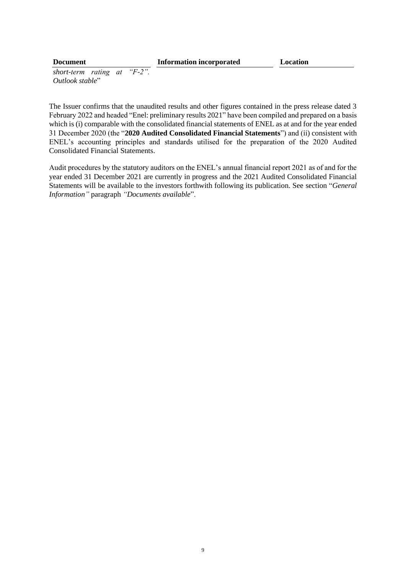## **Document Information incorporated Location**

*short-term rating at "F-2". Outlook stable*"

The Issuer confirms that the unaudited results and other figures contained in the press release dated 3 February 2022 and headed "Enel: preliminary results 2021" have been compiled and prepared on a basis which is (i) comparable with the consolidated financial statements of ENEL as at and for the year ended 31 December 2020 (the "**2020 Audited Consolidated Financial Statements**") and (ii) consistent with ENEL's accounting principles and standards utilised for the preparation of the 2020 Audited Consolidated Financial Statements.

Audit procedures by the statutory auditors on the ENEL's annual financial report 2021 as of and for the year ended 31 December 2021 are currently in progress and the 2021 Audited Consolidated Financial Statements will be available to the investors forthwith following its publication. See section "*General Information"* paragraph *"Documents available*".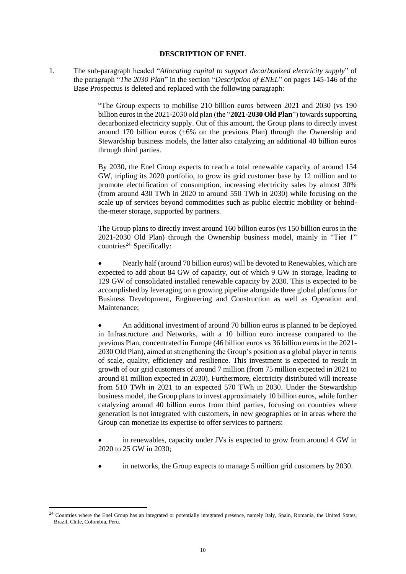## **DESCRIPTION OF ENEL**

1. The sub-paragraph headed "*Allocating capital to support decarbonized electricity supply*" of the paragraph "*The 2030 Plan*" in the section "*Description of ENEL*" on pages 145-146 of the Base Prospectus is deleted and replaced with the following paragraph:

> "The Group expects to mobilise 210 billion euros between 2021 and 2030 (vs 190 billion euros in the 2021-2030 old plan (the "**2021-2030 Old Plan**") towards supporting decarbonized electricity supply. Out of this amount, the Group plans to directly invest around 170 billion euros (+6% on the previous Plan) through the Ownership and Stewardship business models, the latter also catalyzing an additional 40 billion euros through third parties.

> By 2030, the Enel Group expects to reach a total renewable capacity of around 154 GW, tripling its 2020 portfolio, to grow its grid customer base by 12 million and to promote electrification of consumption, increasing electricity sales by almost 30% (from around 430 TWh in 2020 to around 550 TWh in 2030) while focusing on the scale up of services beyond commodities such as public electric mobility or behindthe-meter storage, supported by partners.

> The Group plans to directly invest around 160 billion euros (vs 150 billion euros in the 2021-2030 Old Plan) through the Ownership business model, mainly in "Tier 1" countries<sup>24.</sup> Specifically:

> • Nearly half (around 70 billion euros) will be devoted to Renewables, which are expected to add about 84 GW of capacity, out of which 9 GW in storage, leading to 129 GW of consolidated installed renewable capacity by 2030. This is expected to be accomplished by leveraging on a growing pipeline alongside three global platforms for Business Development, Engineering and Construction as well as Operation and Maintenance;

> • An additional investment of around 70 billion euros is planned to be deployed in Infrastructure and Networks, with a 10 billion euro increase compared to the previous Plan, concentrated in Europe (46 billion euros vs 36 billion euros in the 2021- 2030 Old Plan), aimed at strengthening the Group's position as a global player in terms of scale, quality, efficiency and resilience. This investment is expected to result in growth of our grid customers of around 7 million (from 75 million expected in 2021 to around 81 million expected in 2030). Furthermore, electricity distributed will increase from 510 TWh in 2021 to an expected 570 TWh in 2030. Under the Stewardship business model, the Group plans to invest approximately 10 billion euros, while further catalyzing around 40 billion euros from third parties, focusing on countries where generation is not integrated with customers, in new geographies or in areas where the Group can monetize its expertise to offer services to partners:

> in renewables, capacity under JVs is expected to grow from around 4 GW in 2020 to 25 GW in 2030;

in networks, the Group expects to manage 5 million grid customers by 2030.

<sup>&</sup>lt;sup>24</sup> Countries where the Enel Group has an integrated or potentially integrated presence, namely Italy, Spain, Romania, the United States, Brazil, Chile, Colombia, Peru.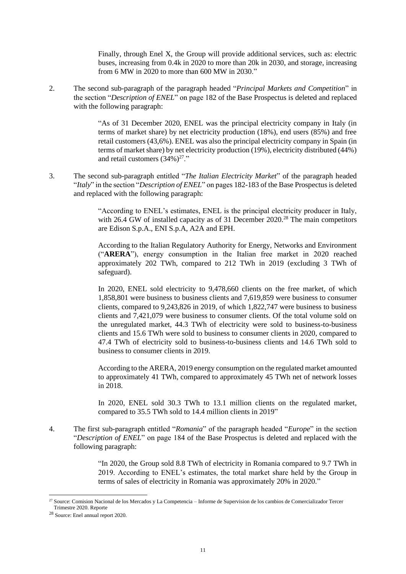Finally, through Enel X, the Group will provide additional services, such as: electric buses, increasing from 0.4k in 2020 to more than 20k in 2030, and storage, increasing from 6 MW in 2020 to more than 600 MW in 2030."

2. The second sub-paragraph of the paragraph headed "*Principal Markets and Competition*" in the section "*Description of ENEL*" on page 182 of the Base Prospectus is deleted and replaced with the following paragraph:

> "As of 31 December 2020, ENEL was the principal electricity company in Italy (in terms of market share) by net electricity production (18%), end users (85%) and free retail customers (43,6%). ENEL was also the principal electricity company in Spain (in terms of market share) by net electricity production (19%), electricity distributed (44%) and retail customers  $(34\%)^{27}$ ."

3. The second sub-paragraph entitled "*The Italian Electricity Market*" of the paragraph headed "*Italy*" in the section "*Description of ENEL*" on pages 182-183 of the Base Prospectus is deleted and replaced with the following paragraph:

> "According to ENEL's estimates, ENEL is the principal electricity producer in Italy, with 26.4 GW of installed capacity as of 31 December 2020.<sup>28</sup> The main competitors are Edison S.p.A., ENI S.p.A, A2A and EPH.

> According to the Italian Regulatory Authority for Energy, Networks and Environment ("**ARERA**"), energy consumption in the Italian free market in 2020 reached approximately 202 TWh, compared to 212 TWh in 2019 (excluding 3 TWh of safeguard).

> In 2020, ENEL sold electricity to 9,478,660 clients on the free market, of which 1,858,801 were business to business clients and 7,619,859 were business to consumer clients, compared to 9,243,826 in 2019, of which 1,822,747 were business to business clients and 7,421,079 were business to consumer clients. Of the total volume sold on the unregulated market, 44.3 TWh of electricity were sold to business-to-business clients and 15.6 TWh were sold to business to consumer clients in 2020, compared to 47.4 TWh of electricity sold to business-to-business clients and 14.6 TWh sold to business to consumer clients in 2019.

> According to the ARERA, 2019 energy consumption on the regulated market amounted to approximately 41 TWh, compared to approximately 45 TWh net of network losses in 2018.

> In 2020, ENEL sold 30.3 TWh to 13.1 million clients on the regulated market, compared to 35.5 TWh sold to 14.4 million clients in 2019"

4. The first sub-paragraph entitled "*Romania*" of the paragraph headed "*Europe*" in the section "*Description of ENEL*" on page 184 of the Base Prospectus is deleted and replaced with the following paragraph:

> "In 2020, the Group sold 8.8 TWh of electricity in Romania compared to 9.7 TWh in 2019. According to ENEL's estimates, the total market share held by the Group in terms of sales of electricity in Romania was approximately 20% in 2020."

<sup>27</sup> Source: Comision Nacional de los Mercados y La Competencia – Informe de Supervision de los cambios de Comercializador Tercer Trimestre 2020. Reporte

<sup>28</sup> Source: Enel annual report 2020.